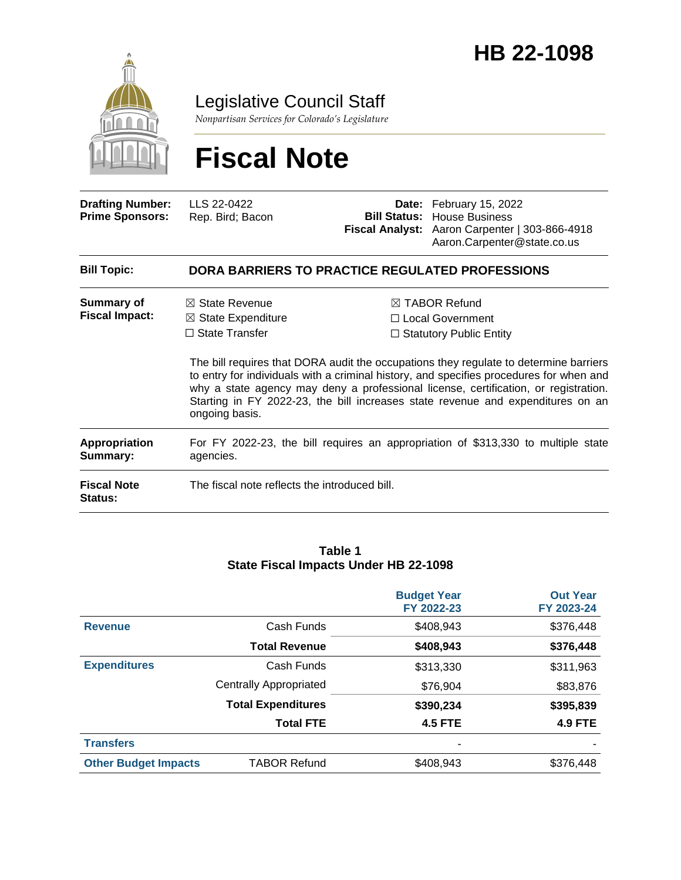

Legislative Council Staff

*Nonpartisan Services for Colorado's Legislature*

# **Fiscal Note**

| <b>Drafting Number:</b><br><b>Prime Sponsors:</b> | LLS 22-0422<br>Rep. Bird; Bacon                                                                                                                                                                                                                                                                                                                                              |                                                                                       | Date: February 15, 2022<br><b>Bill Status: House Business</b><br>Fiscal Analyst: Aaron Carpenter   303-866-4918<br>Aaron.Carpenter@state.co.us |  |
|---------------------------------------------------|------------------------------------------------------------------------------------------------------------------------------------------------------------------------------------------------------------------------------------------------------------------------------------------------------------------------------------------------------------------------------|---------------------------------------------------------------------------------------|------------------------------------------------------------------------------------------------------------------------------------------------|--|
| <b>Bill Topic:</b>                                | <b>DORA BARRIERS TO PRACTICE REGULATED PROFESSIONS</b>                                                                                                                                                                                                                                                                                                                       |                                                                                       |                                                                                                                                                |  |
| Summary of<br><b>Fiscal Impact:</b>               | $\boxtimes$ State Revenue<br>$\boxtimes$ State Expenditure<br>$\Box$ State Transfer                                                                                                                                                                                                                                                                                          | $\boxtimes$ TABOR Refund<br>$\Box$ Local Government<br>$\Box$ Statutory Public Entity |                                                                                                                                                |  |
|                                                   | The bill requires that DORA audit the occupations they regulate to determine barriers<br>to entry for individuals with a criminal history, and specifies procedures for when and<br>why a state agency may deny a professional license, certification, or registration.<br>Starting in FY 2022-23, the bill increases state revenue and expenditures on an<br>ongoing basis. |                                                                                       |                                                                                                                                                |  |
| <b>Appropriation</b><br>Summary:                  | For FY 2022-23, the bill requires an appropriation of \$313,330 to multiple state<br>agencies.                                                                                                                                                                                                                                                                               |                                                                                       |                                                                                                                                                |  |
| <b>Fiscal Note</b><br><b>Status:</b>              | The fiscal note reflects the introduced bill.                                                                                                                                                                                                                                                                                                                                |                                                                                       |                                                                                                                                                |  |

#### **Table 1 State Fiscal Impacts Under HB 22-1098**

|                             |                               | <b>Budget Year</b><br>FY 2022-23 | <b>Out Year</b><br>FY 2023-24 |
|-----------------------------|-------------------------------|----------------------------------|-------------------------------|
| <b>Revenue</b>              | Cash Funds                    | \$408,943                        | \$376,448                     |
|                             | <b>Total Revenue</b>          | \$408,943                        | \$376,448                     |
| <b>Expenditures</b>         | Cash Funds                    | \$313,330                        | \$311,963                     |
|                             | <b>Centrally Appropriated</b> | \$76,904                         | \$83,876                      |
|                             | <b>Total Expenditures</b>     | \$390,234                        | \$395,839                     |
|                             | <b>Total FTE</b>              | <b>4.5 FTE</b>                   | <b>4.9 FTE</b>                |
| <b>Transfers</b>            |                               | -                                |                               |
| <b>Other Budget Impacts</b> | <b>TABOR Refund</b>           | \$408,943                        | \$376,448                     |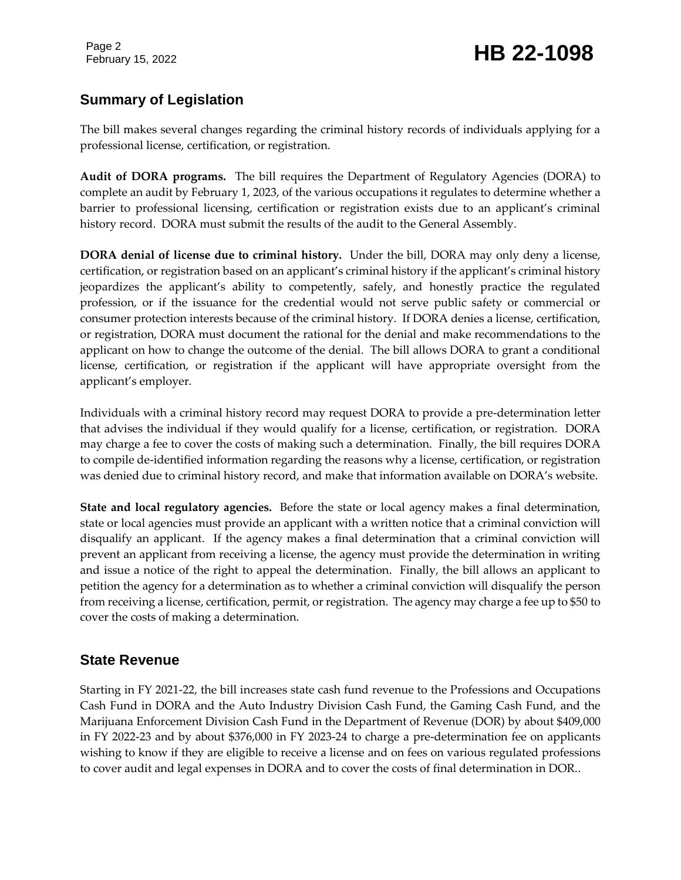## February 15, 2022 **HB 22-1098**

### **Summary of Legislation**

The bill makes several changes regarding the criminal history records of individuals applying for a professional license, certification, or registration.

**Audit of DORA programs.** The bill requires the Department of Regulatory Agencies (DORA) to complete an audit by February 1, 2023, of the various occupations it regulates to determine whether a barrier to professional licensing, certification or registration exists due to an applicant's criminal history record. DORA must submit the results of the audit to the General Assembly.

**DORA denial of license due to criminal history.** Under the bill, DORA may only deny a license, certification, or registration based on an applicant's criminal history if the applicant's criminal history jeopardizes the applicant's ability to competently, safely, and honestly practice the regulated profession, or if the issuance for the credential would not serve public safety or commercial or consumer protection interests because of the criminal history. If DORA denies a license, certification, or registration, DORA must document the rational for the denial and make recommendations to the applicant on how to change the outcome of the denial. The bill allows DORA to grant a conditional license, certification, or registration if the applicant will have appropriate oversight from the applicant's employer.

Individuals with a criminal history record may request DORA to provide a pre-determination letter that advises the individual if they would qualify for a license, certification, or registration. DORA may charge a fee to cover the costs of making such a determination. Finally, the bill requires DORA to compile de-identified information regarding the reasons why a license, certification, or registration was denied due to criminal history record, and make that information available on DORA's website.

**State and local regulatory agencies.** Before the state or local agency makes a final determination, state or local agencies must provide an applicant with a written notice that a criminal conviction will disqualify an applicant. If the agency makes a final determination that a criminal conviction will prevent an applicant from receiving a license, the agency must provide the determination in writing and issue a notice of the right to appeal the determination. Finally, the bill allows an applicant to petition the agency for a determination as to whether a criminal conviction will disqualify the person from receiving a license, certification, permit, or registration. The agency may charge a fee up to \$50 to cover the costs of making a determination.

### **State Revenue**

Starting in FY 2021-22, the bill increases state cash fund revenue to the Professions and Occupations Cash Fund in DORA and the Auto Industry Division Cash Fund, the Gaming Cash Fund, and the Marijuana Enforcement Division Cash Fund in the Department of Revenue (DOR) by about \$409,000 in FY 2022-23 and by about \$376,000 in FY 2023-24 to charge a pre-determination fee on applicants wishing to know if they are eligible to receive a license and on fees on various regulated professions to cover audit and legal expenses in DORA and to cover the costs of final determination in DOR..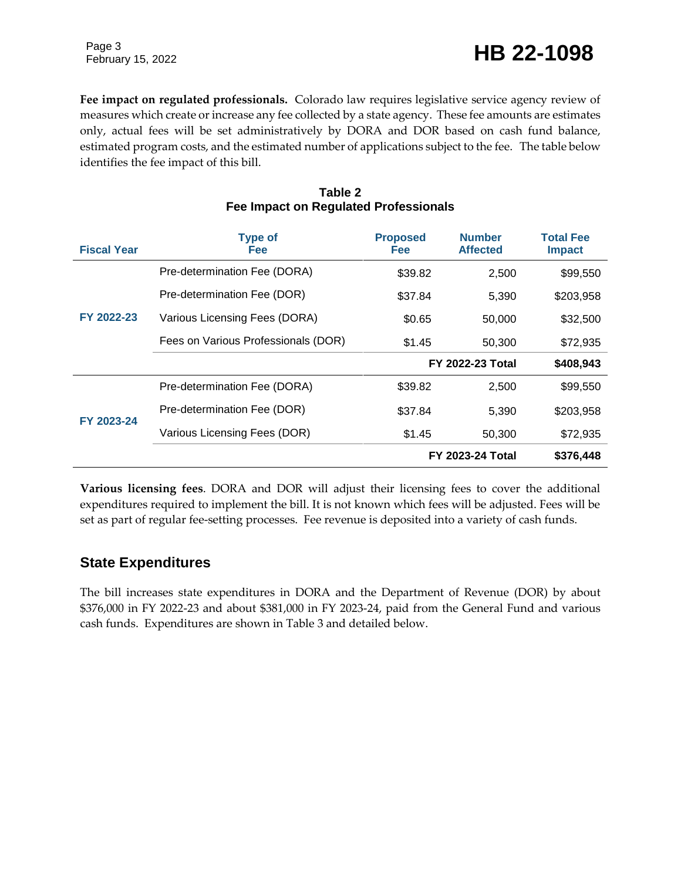February 15, 2022 **HB 22-1098** 

**Fee impact on regulated professionals.** Colorado law requires legislative service agency review of measures which create or increase any fee collected by a state agency. These fee amounts are estimates only, actual fees will be set administratively by DORA and DOR based on cash fund balance, estimated program costs, and the estimated number of applications subject to the fee. The table below identifies the fee impact of this bill.

| <b>Fiscal Year</b> | <b>Type of</b><br><b>Fee</b>        | <b>Proposed</b><br><b>Fee</b> | <b>Number</b><br><b>Affected</b> | <b>Total Fee</b><br><b>Impact</b> |
|--------------------|-------------------------------------|-------------------------------|----------------------------------|-----------------------------------|
|                    | Pre-determination Fee (DORA)        | \$39.82                       | 2,500                            | \$99,550                          |
|                    | Pre-determination Fee (DOR)         | \$37.84                       | 5,390                            | \$203,958                         |
| FY 2022-23         | Various Licensing Fees (DORA)       | \$0.65                        | 50,000                           | \$32,500                          |
|                    | Fees on Various Professionals (DOR) | \$1.45                        | 50,300                           | \$72,935                          |
|                    |                                     | <b>FY 2022-23 Total</b>       |                                  | \$408,943                         |
|                    | Pre-determination Fee (DORA)        | \$39.82                       | 2,500                            | \$99,550                          |
| FY 2023-24         | Pre-determination Fee (DOR)         | \$37.84                       | 5.390                            | \$203.958                         |
|                    | Various Licensing Fees (DOR)        | \$1.45                        | 50,300                           | \$72,935                          |
|                    |                                     | <b>FY 2023-24 Total</b>       |                                  | \$376,448                         |

#### **Table 2 Fee Impact on Regulated Professionals**

**Various licensing fees**. DORA and DOR will adjust their licensing fees to cover the additional expenditures required to implement the bill. It is not known which fees will be adjusted. Fees will be set as part of regular fee-setting processes. Fee revenue is deposited into a variety of cash funds.

### **State Expenditures**

The bill increases state expenditures in DORA and the Department of Revenue (DOR) by about \$376,000 in FY 2022-23 and about \$381,000 in FY 2023-24, paid from the General Fund and various cash funds. Expenditures are shown in Table 3 and detailed below.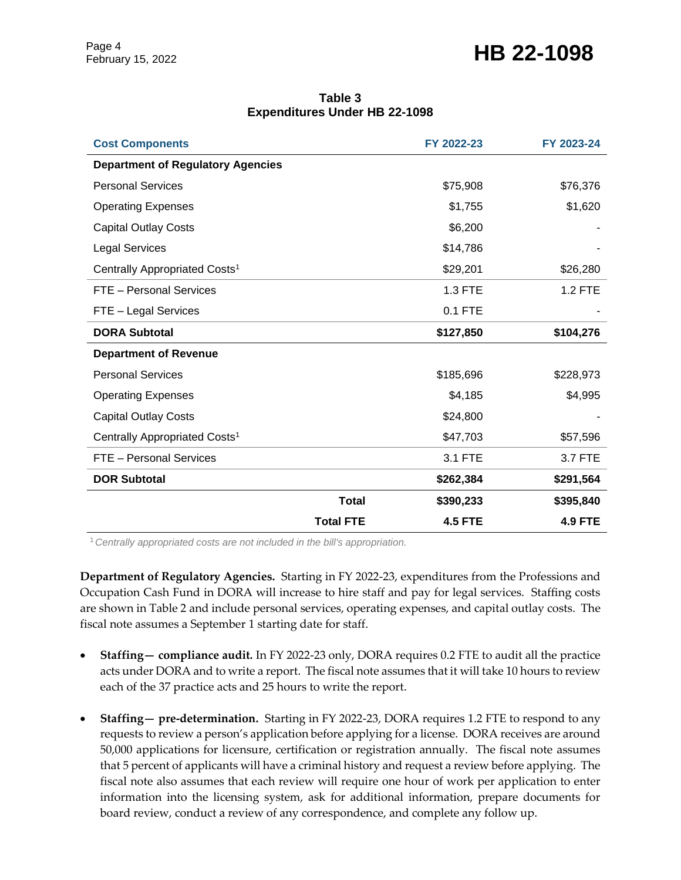### February 15, 2022 **HB 22-1098**

| Table 3                              |  |  |  |
|--------------------------------------|--|--|--|
| <b>Expenditures Under HB 22-1098</b> |  |  |  |

| <b>Cost Components</b>                    |                  | FY 2022-23     | FY 2023-24     |
|-------------------------------------------|------------------|----------------|----------------|
| <b>Department of Regulatory Agencies</b>  |                  |                |                |
| <b>Personal Services</b>                  |                  | \$75,908       | \$76,376       |
| <b>Operating Expenses</b>                 |                  | \$1,755        | \$1,620        |
| <b>Capital Outlay Costs</b>               |                  | \$6,200        |                |
| <b>Legal Services</b>                     |                  | \$14,786       |                |
| Centrally Appropriated Costs <sup>1</sup> |                  | \$29,201       | \$26,280       |
| FTE - Personal Services                   |                  | 1.3 FTE        | <b>1.2 FTE</b> |
| FTE - Legal Services                      |                  | 0.1 FTE        |                |
| <b>DORA Subtotal</b>                      |                  | \$127,850      | \$104,276      |
| <b>Department of Revenue</b>              |                  |                |                |
| <b>Personal Services</b>                  |                  | \$185,696      | \$228,973      |
| <b>Operating Expenses</b>                 |                  | \$4,185        | \$4,995        |
| <b>Capital Outlay Costs</b>               |                  | \$24,800       |                |
| Centrally Appropriated Costs <sup>1</sup> |                  | \$47,703       | \$57,596       |
| FTE - Personal Services                   |                  | 3.1 FTE        | 3.7 FTE        |
| <b>DOR Subtotal</b>                       |                  | \$262,384      | \$291,564      |
|                                           | <b>Total</b>     | \$390,233      | \$395,840      |
|                                           | <b>Total FTE</b> | <b>4.5 FTE</b> | <b>4.9 FTE</b> |

<sup>1</sup>*Centrally appropriated costs are not included in the bill's appropriation.*

**Department of Regulatory Agencies.** Starting in FY 2022-23, expenditures from the Professions and Occupation Cash Fund in DORA will increase to hire staff and pay for legal services. Staffing costs are shown in Table 2 and include personal services, operating expenses, and capital outlay costs. The fiscal note assumes a September 1 starting date for staff.

- **Staffing— compliance audit.** In FY 2022-23 only, DORA requires 0.2 FTE to audit all the practice acts under DORA and to write a report. The fiscal note assumes that it will take 10 hours to review each of the 37 practice acts and 25 hours to write the report.
- **Staffing— pre-determination.** Starting in FY 2022-23, DORA requires 1.2 FTE to respond to any requests to review a person's application before applying for a license. DORA receives are around 50,000 applications for licensure, certification or registration annually. The fiscal note assumes that 5 percent of applicants will have a criminal history and request a review before applying. The fiscal note also assumes that each review will require one hour of work per application to enter information into the licensing system, ask for additional information, prepare documents for board review, conduct a review of any correspondence, and complete any follow up.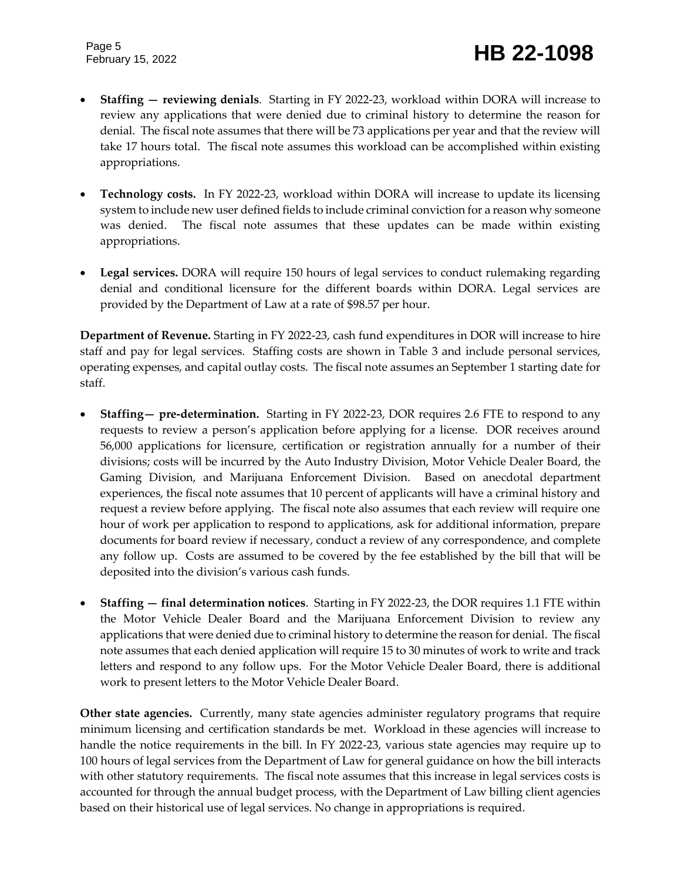- **Staffing — reviewing denials**. Starting in FY 2022-23, workload within DORA will increase to review any applications that were denied due to criminal history to determine the reason for denial. The fiscal note assumes that there will be 73 applications per year and that the review will take 17 hours total. The fiscal note assumes this workload can be accomplished within existing appropriations.
- **Technology costs.** In FY 2022-23, workload within DORA will increase to update its licensing system to include new user defined fields to include criminal conviction for a reason why someone was denied. The fiscal note assumes that these updates can be made within existing appropriations.
- **Legal services.** DORA will require 150 hours of legal services to conduct rulemaking regarding denial and conditional licensure for the different boards within DORA. Legal services are provided by the Department of Law at a rate of \$98.57 per hour.

**Department of Revenue.** Starting in FY 2022-23, cash fund expenditures in DOR will increase to hire staff and pay for legal services. Staffing costs are shown in Table 3 and include personal services, operating expenses, and capital outlay costs. The fiscal note assumes an September 1 starting date for staff.

- **Staffing— pre-determination.** Starting in FY 2022-23, DOR requires 2.6 FTE to respond to any requests to review a person's application before applying for a license. DOR receives around 56,000 applications for licensure, certification or registration annually for a number of their divisions; costs will be incurred by the Auto Industry Division, Motor Vehicle Dealer Board, the Gaming Division, and Marijuana Enforcement Division. Based on anecdotal department experiences, the fiscal note assumes that 10 percent of applicants will have a criminal history and request a review before applying. The fiscal note also assumes that each review will require one hour of work per application to respond to applications, ask for additional information, prepare documents for board review if necessary, conduct a review of any correspondence, and complete any follow up. Costs are assumed to be covered by the fee established by the bill that will be deposited into the division's various cash funds.
- **Staffing — final determination notices**. Starting in FY 2022-23, the DOR requires 1.1 FTE within the Motor Vehicle Dealer Board and the Marijuana Enforcement Division to review any applications that were denied due to criminal history to determine the reason for denial. The fiscal note assumes that each denied application will require 15 to 30 minutes of work to write and track letters and respond to any follow ups. For the Motor Vehicle Dealer Board, there is additional work to present letters to the Motor Vehicle Dealer Board.

**Other state agencies.** Currently, many state agencies administer regulatory programs that require minimum licensing and certification standards be met. Workload in these agencies will increase to handle the notice requirements in the bill. In FY 2022-23, various state agencies may require up to 100 hours of legal services from the Department of Law for general guidance on how the bill interacts with other statutory requirements. The fiscal note assumes that this increase in legal services costs is accounted for through the annual budget process, with the Department of Law billing client agencies based on their historical use of legal services. No change in appropriations is required.